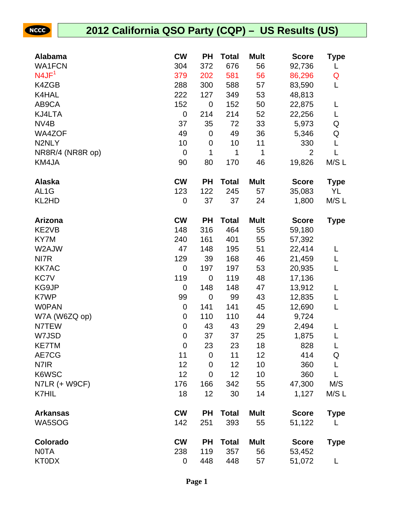| <b>Alabama</b>    | <b>CW</b>        | <b>PH</b>      | <b>Total</b> | <b>Mult</b> | <b>Score</b>   | Type        |
|-------------------|------------------|----------------|--------------|-------------|----------------|-------------|
| <b>WA1FCN</b>     | 304              | 372            | 676          | 56          | 92,736         | L           |
| N4JF <sup>1</sup> | 379              | 202            | 581          | 56          | 86,296         | Q           |
| K4ZGB             | 288              | 300            | 588          | 57          | 83,590         | L           |
| K4HAL             | 222              | 127            | 349          | 53          | 48,813         |             |
| AB9CA             | 152              | $\mathbf 0$    | 152          | 50          | 22,875         | L           |
| KJ4LTA            | $\boldsymbol{0}$ | 214            | 214          | 52          | 22,256         | L           |
| NV <sub>4</sub> B | 37               | 35             | 72           | 33          | 5,973          | Q           |
| WA4ZOF            | 49               | $\mathbf 0$    | 49           | 36          | 5,346          | Q           |
| N2NLY             | 10               | $\mathbf 0$    | 10           | 11          | 330            | L           |
| NR8R/4 (NR8R op)  | $\mathbf 0$      | 1              | 1            | 1           | $\overline{2}$ | L           |
| KM4JA             | 90               | 80             | 170          | 46          | 19,826         | M/S L       |
| <b>Alaska</b>     | <b>CW</b>        | <b>PH</b>      | <b>Total</b> | <b>Mult</b> | <b>Score</b>   | Type        |
| AL <sub>1</sub> G | 123              | 122            | 245          | 57          | 35,083         | YL          |
| KL2HD             | $\boldsymbol{0}$ | 37             | 37           | 24          | 1,800          | M/S L       |
| Arizona           | <b>CW</b>        | <b>PH</b>      | <b>Total</b> | <b>Mult</b> | <b>Score</b>   | <b>Type</b> |
| KE2VB             | 148              | 316            | 464          | 55          | 59,180         |             |
| KY7M              | 240              | 161            | 401          | 55          | 57,392         |             |
| W2AJW             | 47               | 148            | 195          | 51          | 22,414         | L           |
| NI7R              | 129              | 39             | 168          | 46          | 21,459         | L           |
| <b>KK7AC</b>      | $\mathbf 0$      | 197            | 197          | 53          | 20,935         | L           |
| <b>KC7V</b>       | 119              | $\mathbf 0$    | 119          | 48          | 17,136         |             |
| KG9JP             | $\mathbf 0$      | 148            | 148          | 47          | 13,912         | L           |
| K7WP              | 99               | $\mathbf 0$    | 99           | 43          | 12,835         | L           |
| <b>WOPAN</b>      | $\mathbf 0$      | 141            | 141          | 45          | 12,690         | L           |
| W7A (W6ZQ op)     | $\boldsymbol{0}$ | 110            | 110          | 44          | 9,724          |             |
| N7TEW             | $\pmb{0}$        | 43             | 43           | 29          | 2,494          | L           |
| W7JSD             | $\mathbf 0$      | 37             | 37           | 25          | 1,875          | L           |
| <b>KE7TM</b>      | $\mathbf 0$      | 23             | 23           | 18          | 828            | L           |
| AE7CG             | 11               | $\mathbf 0$    | 11           | 12          | 414            | Q           |
| N7IR              | 12               | $\mathbf 0$    | 12           | 10          | 360            | L           |
| K6WSC             | 12               | $\overline{0}$ | 12           | 10          | 360            | L           |
| N7LR (+ W9CF)     | 176              | 166            | 342          | 55          | 47,300         | M/S         |
| <b>K7HIL</b>      | 18               | 12             | 30           | 14          | 1,127          | M/S L       |
| <b>Arkansas</b>   | <b>CW</b>        | <b>PH</b>      | <b>Total</b> | <b>Mult</b> | <b>Score</b>   | <b>Type</b> |
| WA5SOG            | 142              | 251            | 393          | 55          | 51,122         | L           |
| Colorado          | <b>CW</b>        | <b>PH</b>      | <b>Total</b> | <b>Mult</b> | <b>Score</b>   | <b>Type</b> |
| <b>NOTA</b>       | 238              | 119            | 357          | 56          | 53,452         |             |
| <b>KT0DX</b>      | 0                | 448            | 448          | 57          | 51,072         | L           |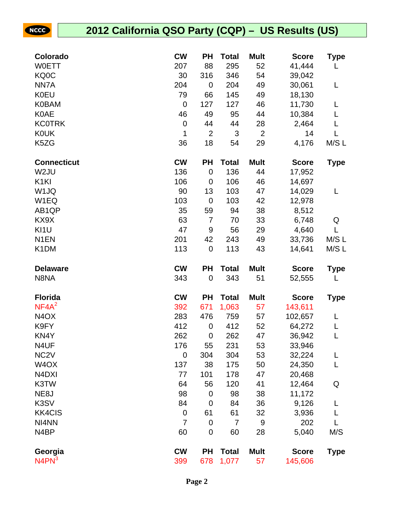| Colorado                       | <b>CW</b>        | PH               | <b>Total</b>          | <b>Mult</b>       | <b>Score</b>            | Type        |
|--------------------------------|------------------|------------------|-----------------------|-------------------|-------------------------|-------------|
| <b>WOETT</b>                   | 207              | 88               | 295                   | 52                | 41,444                  | L           |
| KQ0C                           | 30               | 316              | 346                   | 54                | 39,042                  |             |
| NN7A                           | 204              | $\mathbf 0$      | 204                   | 49                | 30,061                  | L           |
| <b>K0EU</b>                    | 79               | 66               | 145                   | 49                | 18,130                  |             |
| <b>K0BAM</b>                   | $\boldsymbol{0}$ | 127              | 127                   | 46                | 11,730                  | L           |
| <b>K0AE</b>                    | 46               | 49               | 95                    | 44                | 10,384                  | L           |
| <b>KC0TRK</b>                  | $\pmb{0}$        | 44               | 44                    | 28                | 2,464                   |             |
| <b>K0UK</b>                    | 1                | $\overline{2}$   | 3                     | $\overline{2}$    | 14                      |             |
| K5ZG                           | 36               | 18               | 54                    | 29                | 4,176                   | M/S L       |
| <b>Connecticut</b>             | <b>CW</b>        | PH               | <b>Total</b>          | <b>Mult</b>       | <b>Score</b>            | <b>Type</b> |
| W <sub>2</sub> JU              | 136              | $\mathbf 0$      | 136                   | 44                | 17,952                  |             |
| K <sub>1</sub> KI              | 106              | $\mathbf 0$      | 106                   | 46                | 14,697                  |             |
| W1JQ                           | 90               | 13               | 103                   | 47                | 14,029                  | L           |
| W <sub>1</sub> EQ              | 103              | $\mathbf 0$      | 103                   | 42                | 12,978                  |             |
| AB1QP                          | 35               | 59               | 94                    | 38                | 8,512                   |             |
| KX9X                           | 63               | $\overline{7}$   | 70                    | 33                | 6,748                   | Q           |
| KI1U                           | 47               | 9                | 56                    | 29                | 4,640                   | L           |
| N <sub>1</sub> EN              | 201              | 42               | 243                   | 49                | 33,736                  | M/SL        |
| K <sub>1</sub> DM              | 113              | $\mathbf 0$      | 113                   | 43                | 14,641                  | M/S L       |
|                                |                  |                  |                       |                   |                         |             |
| <b>Delaware</b>                | <b>CW</b>        | <b>PH</b>        | <b>Total</b>          | <b>Mult</b>       | <b>Score</b>            | <b>Type</b> |
| N8NA                           | 343              | $\mathbf 0$      | 343                   | 51                | 52,555                  | L           |
| <b>Florida</b>                 | <b>CW</b>        | PH               | <b>Total</b>          | <b>Mult</b>       | <b>Score</b>            | <b>Type</b> |
| NF4A <sup>2</sup>              | 392              | 671              | 1,063                 | 57                | 143,611                 |             |
| N <sub>4</sub> O <sub>X</sub>  | 283              | 476              | 759                   | 57                | 102,657                 | L           |
| K9FY                           | 412              | $\mathbf 0$      | 412                   | 52                | 64,272                  | L           |
| KN4Y                           | 262              | $\mathbf 0$      | 262                   | 47                | 36,942                  | L           |
| N4UF                           | 176              | 55               | 231                   | 53                | 33,946                  |             |
| NC <sub>2</sub> V              | $\mathbf 0$      | 304              | 304                   | 53                | 32,224                  | L           |
| W <sub>4</sub> OX              | 137              | 38               | 175                   | 50                | 24,350                  | L           |
| N <sub>4</sub> D <sub>XI</sub> | 77               | 101              | 178                   | 47                | 20,468                  |             |
| K3TW                           | 64               | 56               | 120                   | 41                | 12,464                  | Q           |
| NE <sub>8</sub> J              | 98               | $\mathbf 0$      | 98                    | 38                | 11,172                  |             |
| K3SV                           | 84               | $\mathbf 0$      | 84                    | 36                | 9,126                   | L           |
| <b>KK4CIS</b>                  | $\pmb{0}$        | 61               | 61                    | 32                | 3,936                   | L           |
| NI4NN                          | $\overline{7}$   | $\mathbf 0$      | $\overline{7}$        | 9                 | 202                     | L           |
| N4BP                           | 60               | $\mathbf 0$      | 60                    | 28                | 5,040                   | M/S         |
| Georgia<br>$N4PN^3$            | <b>CW</b><br>399 | <b>PH</b><br>678 | <b>Total</b><br>1,077 | <b>Mult</b><br>57 | <b>Score</b><br>145,606 | <b>Type</b> |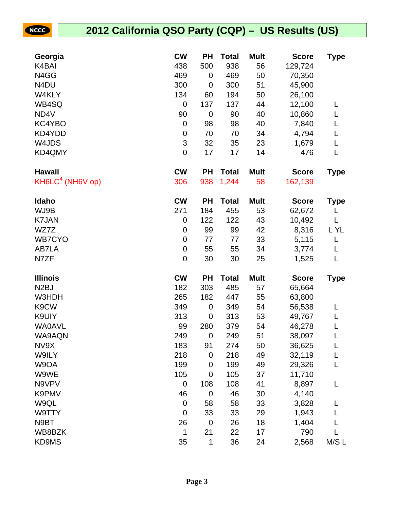| Georgia            | <b>CW</b>                 | <b>PH</b>        | <b>Total</b> | <b>Mult</b> | <b>Score</b> | <b>Type</b> |
|--------------------|---------------------------|------------------|--------------|-------------|--------------|-------------|
| K4BAI              | 438                       | 500              | 938          | 56          | 129,724      |             |
| N4GG               | 469                       | 0                | 469          | 50          | 70,350       |             |
| N <sub>4</sub> DU  | 300                       | $\mathbf 0$      | 300          | 51          | 45,900       |             |
| W4KLY              | 134                       | 60               | 194          | 50          | 26,100       |             |
| WB4SQ              | $\boldsymbol{0}$          | 137              | 137          | 44          | 12,100       |             |
| ND4V               | 90                        | $\boldsymbol{0}$ | 90           | 40          | 10,860       | L           |
| KC4YBO             | $\boldsymbol{0}$          | 98               | 98           | 40          | 7,840        |             |
| KD4YDD             | $\boldsymbol{0}$          | 70               | 70           | 34          | 4,794        | L           |
| W4JDS              | $\ensuremath{\mathsf{3}}$ | 32               | 35           | 23          | 1,679        | L           |
| KD4QMY             | $\boldsymbol{0}$          | 17               | 17           | 14          | 476          | L           |
| <b>Hawaii</b>      | <b>CW</b>                 | <b>PH</b>        | <b>Total</b> | <b>Mult</b> | <b>Score</b> | <b>Type</b> |
| $KH6LC4$ (NH6V op) | 306                       | 938              | 1,244        | 58          | 162,139      |             |
| Idaho              | <b>CW</b>                 | <b>PH</b>        | <b>Total</b> | <b>Mult</b> | <b>Score</b> | <b>Type</b> |
| WJ9B               | 271                       | 184              | 455          | 53          | 62,672       | L           |
| <b>K7JAN</b>       | 0                         | 122              | 122          | 43          | 10,492       | L           |
| WZ7Z               | $\boldsymbol{0}$          | 99               | 99           | 42          | 8,316        | L YL        |
| <b>WB7CYO</b>      | $\boldsymbol{0}$          | 77               | 77           | 33          | 5,115        | L           |
| AB7LA              | $\boldsymbol{0}$          | 55               | 55           | 34          | 3,774        | L           |
| N7ZF               | $\boldsymbol{0}$          | 30               | 30           | 25          | 1,525        | L           |
| <b>Illinois</b>    | <b>CW</b>                 | <b>PH</b>        | <b>Total</b> | <b>Mult</b> | <b>Score</b> | <b>Type</b> |
| N <sub>2</sub> BJ  | 182                       | 303              | 485          | 57          | 65,664       |             |
| W3HDH              | 265                       | 182              | 447          | 55          | 63,800       |             |
| K9CW               | 349                       | 0                | 349          | 54          | 56,538       | L           |
| K9UIY              | 313                       | $\mathbf 0$      | 313          | 53          | 49,767       |             |
| <b>WA0AVL</b>      | 99                        | 280              | 379          | 54          | 46,278       | L           |
| WA9AQN             | 249                       | $\mathbf 0$      | 249          | 51          | 38,097       |             |
| NV9X               | 183                       | 91               | 274          | 50          | 36,625       | L           |
| W9ILY              | 218                       | $\pmb{0}$        | 218          | 49          | 32,119       |             |
| W9OA               | 199                       | $\boldsymbol{0}$ | 199          | 49          | 29,326       | L           |
| W9WE               | 105                       | $\mathbf 0$      | 105          | 37          | 11,710       |             |
| N9VPV              | 0                         | 108              | 108          | 41          | 8,897        | L           |
| K9PMV              | 46                        | $\pmb{0}$        | 46           | 30          | 4,140        |             |
| W9QL               | $\boldsymbol{0}$          | 58               | 58           | 33          | 3,828        |             |
| W9TTY              | $\boldsymbol{0}$          | 33               | 33           | 29          | 1,943        |             |
| N9BT               | 26                        | $\boldsymbol{0}$ | 26           | 18          | 1,404        |             |
| WB8BZK             | 1                         | 21               | 22           | 17          | 790          |             |
| KD9MS              | 35                        | 1                | 36           | 24          | 2,568        | M/S L       |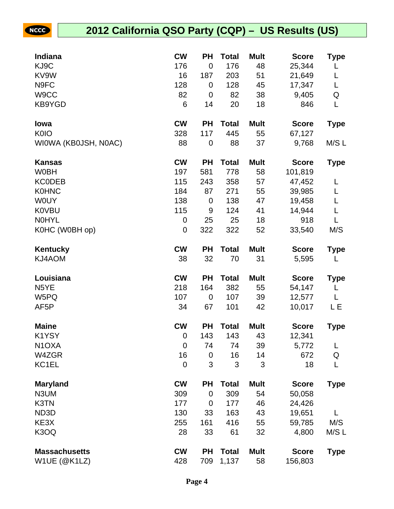| Indiana                       | <b>CW</b>        | ΡH               | Total        | <b>Mult</b> | <b>Score</b> | Type        |
|-------------------------------|------------------|------------------|--------------|-------------|--------------|-------------|
| KJ9C                          | 176              | $\mathbf 0$      | 176          | 48          | 25,344       | L           |
| KV9W                          | 16               | 187              | 203          | 51          | 21,649       | L           |
| N9FC                          | 128              | $\mathbf 0$      | 128          | 45          | 17,347       | Г           |
| W9CC                          | 82               | 0                | 82           | 38          | 9,405        | Q           |
| KB9YGD                        | 6                | 14               | 20           | 18          | 846          | L           |
| lowa                          | <b>CW</b>        | <b>PH</b>        | <b>Total</b> | <b>Mult</b> | <b>Score</b> | <b>Type</b> |
| <b>K0IO</b>                   | 328              | 117              | 445          | 55          | 67,127       |             |
| WIOWA (KBOJSH, NOAC)          | 88               | $\boldsymbol{0}$ | 88           | 37          | 9,768        | M/S L       |
| <b>Kansas</b>                 | <b>CW</b>        | <b>PH</b>        | <b>Total</b> | <b>Mult</b> | <b>Score</b> | <b>Type</b> |
| <b>W0BH</b>                   | 197              | 581              | 778          | 58          | 101,819      |             |
| <b>KCODEB</b>                 | 115              | 243              | 358          | 57          | 47,452       | L           |
| <b>K0HNC</b>                  | 184              | 87               | 271          | 55          | 39,985       | L           |
| <b>WOUY</b>                   | 138              | $\boldsymbol{0}$ | 138          | 47          | 19,458       | L           |
| <b>K0VBU</b>                  | 115              | 9                | 124          | 41          | 14,944       | L           |
| <b>NOHYL</b>                  | $\pmb{0}$        | 25               | 25           | 18          | 918          | L           |
| K0HC (W0BH op)                | $\mathbf 0$      | 322              | 322          | 52          | 33,540       | M/S         |
| Kentucky                      | <b>CW</b>        | <b>PH</b>        | <b>Total</b> | <b>Mult</b> | <b>Score</b> | <b>Type</b> |
| KJ4AOM                        | 38               | 32               | 70           | 31          | 5,595        | L           |
| Louisiana                     | <b>CW</b>        | <b>PH</b>        | <b>Total</b> | <b>Mult</b> | <b>Score</b> | <b>Type</b> |
| N <sub>5</sub> YE             | 218              | 164              | 382          | 55          | 54,147       | L           |
| W5PQ                          | 107              | $\boldsymbol{0}$ | 107          | 39          | 12,577       | L           |
| AF <sub>5</sub> P             | 34               | 67               | 101          | 42          | 10,017       | LЕ          |
| <b>Maine</b>                  | <b>CW</b>        | <b>PH</b>        | <b>Total</b> | <b>Mult</b> | <b>Score</b> | <b>Type</b> |
| K1YSY                         | $\mathbf 0$      | 143              | 143          | 43          | 12,341       |             |
| N <sub>1</sub> OXA            | $\boldsymbol{0}$ | 74               | 74           | 39          | 5,772        | L           |
| W4ZGR                         | 16               | $\mathbf 0$      | 16           | 14          | 672          | Q           |
| KC1EL                         | $\mathbf 0$      | 3                | 3            | 3           | 18           | L           |
| <b>Maryland</b>               | <b>CW</b>        | <b>PH</b>        | <b>Total</b> | <b>Mult</b> | <b>Score</b> | <b>Type</b> |
| N3UM                          | 309              | $\mathbf 0$      | 309          | 54          | 50,058       |             |
| K3TN                          | 177              | 0                | 177          | 46          | 24,426       |             |
| ND3D                          | 130              | 33               | 163          | 43          | 19,651       | L           |
| KE3X                          | 255              | 161              | 416          | 55          | 59,785       | M/S         |
| K <sub>3</sub> O <sub>Q</sub> | 28               | 33               | 61           | 32          | 4,800        | M/S L       |
| <b>Massachusetts</b>          | <b>CW</b>        | <b>PH</b>        | <b>Total</b> | <b>Mult</b> | <b>Score</b> | <b>Type</b> |
| W1UE (@K1LZ)                  | 428              | 709              | 1,137        | 58          | 156,803      |             |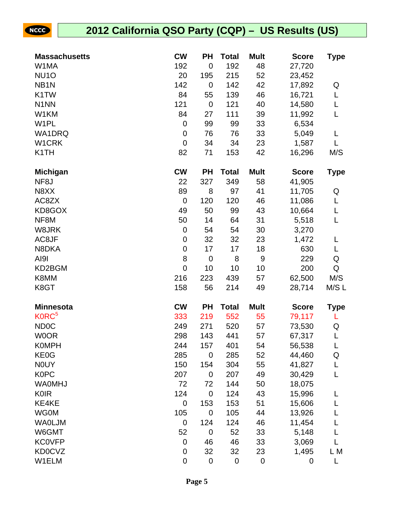| <b>Massachusetts</b> | <b>CW</b>        | <b>PH</b>        | <b>Total</b> | <b>Mult</b> | <b>Score</b> | <b>Type</b> |
|----------------------|------------------|------------------|--------------|-------------|--------------|-------------|
| W1MA                 | 192              | $\mathbf 0$      | 192          | 48          | 27,720       |             |
| <b>NU10</b>          | 20               | 195              | 215          | 52          | 23,452       |             |
| NB <sub>1</sub> N    | 142              | $\mathbf 0$      | 142          | 42          | 17,892       | Q           |
| K1TW                 | 84               | 55               | 139          | 46          | 16,721       | L           |
| N <sub>1</sub> NN    | 121              | $\boldsymbol{0}$ | 121          | 40          | 14,580       | L           |
| W1KM                 | 84               | 27               | 111          | 39          | 11,992       | L           |
| W <sub>1</sub> PL    | $\boldsymbol{0}$ | 99               | 99           | 33          | 6,534        |             |
| <b>WA1DRQ</b>        | 0                | 76               | 76           | 33          | 5,049        | L           |
| W1CRK                | $\mathbf 0$      | 34               | 34           | 23          | 1,587        | L           |
| K <sub>1</sub> TH    | 82               | 71               | 153          | 42          | 16,296       | M/S         |
| <b>Michigan</b>      | <b>CW</b>        | <b>PH</b>        | <b>Total</b> | <b>Mult</b> | <b>Score</b> | <b>Type</b> |
| NF <sub>8</sub> J    | 22               | 327              | 349          | 58          | 41,905       |             |
| N8XX                 | 89               | 8                | 97           | 41          | 11,705       | Q           |
| AC8ZX                | $\mathbf 0$      | 120              | 120          | 46          | 11,086       | L           |
| KD8GOX               | 49               | 50               | 99           | 43          | 10,664       | L           |
| NF8M                 | 50               | 14               | 64           | 31          | 5,518        | L           |
| W8JRK                | 0                | 54               | 54           | 30          | 3,270        |             |
| AC8JF                | $\pmb{0}$        | 32               | 32           | 23          | 1,472        | L           |
| N8DKA                | $\boldsymbol{0}$ | 17               | 17           | 18          | 630          | L           |
| AI91                 | 8                | $\boldsymbol{0}$ | 8            | $9\,$       | 229          | Q           |
| KD2BGM               | $\mathbf 0$      | 10               | 10           | 10          | 200          | Q           |
| K8MM                 | 216              | 223              | 439          | 57          | 62,500       | M/S         |
| K8GT                 | 158              | 56               | 214          | 49          | 28,714       | M/S L       |
| <b>Minnesota</b>     | <b>CW</b>        | <b>PH</b>        | <b>Total</b> | <b>Mult</b> | <b>Score</b> | <b>Type</b> |
| K0RC <sup>5</sup>    | 333              | 219              | 552          | 55          | 79,117       | L           |
| <b>ND0C</b>          | 249              | 271              | 520          | 57          | 73,530       | Q           |
| <b>WOOR</b>          | 298              | 143              | 441          | 57          | 67,317       | L           |
| <b>K0MPH</b>         | 244              | 157              | 401          | 54          | 56,538       | L           |
| KE0G                 | 285              | $\mathbf 0$      | 285          | 52          | 44,460       | Q           |
| <b>NOUY</b>          | 150              | 154              | 304          | 55          | 41,827       | L           |
| <b>K0PC</b>          | 207              | $\mathbf 0$      | 207          | 49          | 30,429       | L           |
| <b>WA0MHJ</b>        | 72               | 72               | 144          | 50          | 18,075       |             |
| <b>K0IR</b>          | 124              | $\mathbf 0$      | 124          | 43          | 15,996       | L           |
| KE4KE                | $\boldsymbol{0}$ | 153              | 153          | 51          | 15,606       | L           |
| <b>WG0M</b>          | 105              | $\mathbf 0$      | 105          | 44          | 13,926       |             |
| <b>WAOLJM</b>        | 0                | 124              | 124          | 46          | 11,454       | L           |
| W6GMT                | 52               | $\pmb{0}$        | 52           | 33          | 5,148        | L           |
| <b>KC0VFP</b>        | $\boldsymbol{0}$ | 46               | 46           | 33          | 3,069        | L           |
| <b>KD0CVZ</b>        | $\pmb{0}$        | 32               | 32           | 23          | 1,495        | L M         |
| W1ELM                | $\pmb{0}$        | $\pmb{0}$        | $\pmb{0}$    | $\pmb{0}$   | $\pmb{0}$    | L           |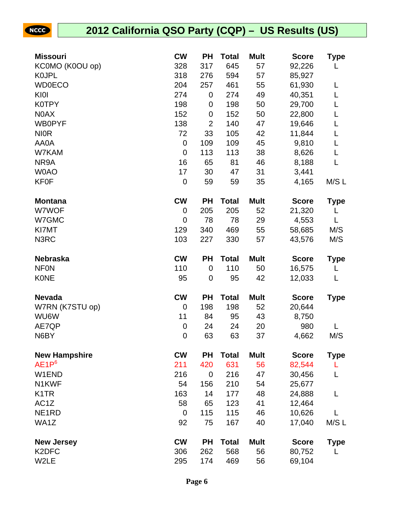| <b>Missouri</b>      | <b>CW</b>        | <b>PH</b>      | <b>Total</b> | <b>Mult</b> | <b>Score</b> | Type        |
|----------------------|------------------|----------------|--------------|-------------|--------------|-------------|
| KC0MO (K0OU op)      | 328              | 317            | 645          | 57          | 92,226       | L           |
| <b>KOJPL</b>         | 318              | 276            | 594          | 57          | 85,927       |             |
| <b>WD0ECO</b>        | 204              | 257            | 461          | 55          | 61,930       | L           |
| KI0I                 | 274              | $\mathbf 0$    | 274          | 49          | 40,351       | L           |
| <b>K0TPY</b>         | 198              | 0              | 198          | 50          | 29,700       | L           |
| N0AX                 | 152              | 0              | 152          | 50          | 22,800       | L           |
| <b>WB0PYF</b>        | 138              | $\overline{2}$ | 140          | 47          | 19,646       | L           |
| <b>NIOR</b>          | 72               | 33             | 105          | 42          | 11,844       | L           |
| AA0A                 | $\boldsymbol{0}$ | 109            | 109          | 45          | 9,810        | L           |
| W7KAM                | $\mathbf 0$      | 113            | 113          | 38          | 8,626        | L           |
| NR9A                 | 16               | 65             | 81           | 46          | 8,188        | L           |
| <b>WOAO</b>          | 17               | 30             | 47           | 31          | 3,441        |             |
| <b>KF0F</b>          | $\pmb{0}$        | 59             | 59           | 35          | 4,165        | M/S L       |
| <b>Montana</b>       | <b>CW</b>        | <b>PH</b>      | <b>Total</b> | <b>Mult</b> | <b>Score</b> | Type        |
| W7WOF                | 0                | 205            | 205          | 52          | 21,320       | L           |
| W7GMC                | $\mathbf 0$      | 78             | 78           | 29          | 4,553        | L           |
| KI7MT                | 129              | 340            | 469          | 55          | 58,685       | M/S         |
| N3RC                 | 103              | 227            | 330          | 57          | 43,576       | M/S         |
| <b>Nebraska</b>      | <b>CW</b>        | <b>PH</b>      | <b>Total</b> | <b>Mult</b> | <b>Score</b> | <b>Type</b> |
| <b>NFON</b>          | 110              | $\mathbf 0$    | 110          | 50          | 16,575       | L           |
| <b>KONE</b>          | 95               | $\mathbf 0$    | 95           | 42          | 12,033       | L           |
| <b>Nevada</b>        | <b>CW</b>        | <b>PH</b>      | <b>Total</b> | <b>Mult</b> | <b>Score</b> | <b>Type</b> |
| W7RN (K7STU op)      | 0                | 198            | 198          | 52          | 20,644       |             |
| WU6W                 | 11               | 84             | 95           | 43          | 8,750        |             |
| AE7QP                | 0                | 24             | 24           | 20          | 980          |             |
| N6BY                 | $\mathbf 0$      | 63             | 63           | 37          | 4,662        | M/S         |
| <b>New Hampshire</b> | <b>CW</b>        | <b>PH</b>      | <b>Total</b> | <b>Mult</b> | <b>Score</b> | <b>Type</b> |
| AE1P <sup>6</sup>    | 211              | 420            | 631          | 56          | 82,544       | L           |
| W1END                | 216              | $\mathbf 0$    | 216          | 47          | 30,456       | L           |
| N <sub>1</sub> KWF   | 54               | 156            | 210          | 54          | 25,677       |             |
| K <sub>1</sub> TR    | 163              | 14             | 177          | 48          | 24,888       | L           |
| AC <sub>1</sub> Z    | 58               | 65             | 123          | 41          | 12,464       |             |
| NE <sub>1</sub> RD   | $\mathbf 0$      | 115            | 115          | 46          | 10,626       | L           |
| WA1Z                 | 92               | 75             | 167          | 40          | 17,040       | M/S L       |
| <b>New Jersey</b>    | <b>CW</b>        | <b>PH</b>      | <b>Total</b> | <b>Mult</b> | <b>Score</b> | <b>Type</b> |
| K <sub>2</sub> DFC   | 306              | 262            | 568          | 56          | 80,752       | L           |
| W2LE                 | 295              | 174            | 469          | 56          | 69,104       |             |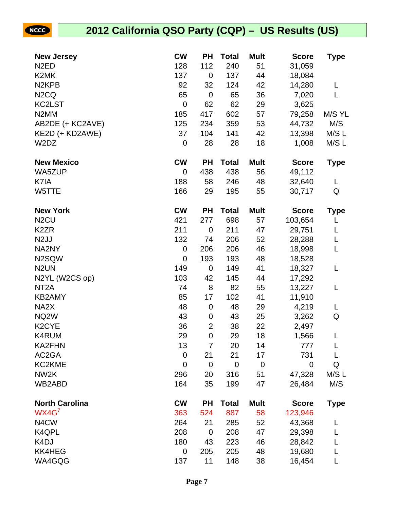| <b>New Jersey</b>             | <b>CW</b>      | <b>PH</b>               | <b>Total</b> | <b>Mult</b> | <b>Score</b> | <b>Type</b> |
|-------------------------------|----------------|-------------------------|--------------|-------------|--------------|-------------|
| N <sub>2</sub> ED             | 128            | 112                     | 240          | 51          | 31,059       |             |
| K2MK                          | 137            | $\mathbf 0$             | 137          | 44          | 18,084       |             |
| N <sub>2</sub> KPB            | 92             | 32                      | 124          | 42          | 14,280       | L           |
| N <sub>2</sub> C <sub>Q</sub> | 65             | $\mathbf 0$             | 65           | 36          | 7,020        | L           |
| KC2LST                        | $\mathbf 0$    | 62                      | 62           | 29          | 3,625        |             |
| N <sub>2</sub> MM             | 185            | 417                     | 602          | 57          | 79,258       | M/S YL      |
| AB2DE (+ KC2AVE)              | 125            | 234                     | 359          | 53          | 44,732       | M/S         |
| KE2D (+ KD2AWE)               | 37             | 104                     | 141          | 42          | 13,398       | M/S L       |
| W2DZ                          | $\mathbf 0$    | 28                      | 28           | 18          | 1,008        | M/S L       |
| <b>New Mexico</b>             | <b>CW</b>      | <b>PH</b>               | <b>Total</b> | <b>Mult</b> | <b>Score</b> | <b>Type</b> |
| WA5ZUP                        | 0              | 438                     | 438          | 56          | 49,112       |             |
| K7IA                          | 188            | 58                      | 246          | 48          | 32,640       | L           |
| W5TTE                         | 166            | 29                      | 195          | 55          | 30,717       | Q           |
| <b>New York</b>               | <b>CW</b>      | <b>PH</b>               | <b>Total</b> | <b>Mult</b> | <b>Score</b> | <b>Type</b> |
| N <sub>2</sub> CU             | 421            | 277                     | 698          | 57          | 103,654      | L           |
| K <sub>2</sub> ZR             | 211            | $\mathbf 0$             | 211          | 47          | 29,751       | L           |
| N <sub>2</sub> JJ             | 132            | 74                      | 206          | 52          | 28,288       | L           |
| NA2NY                         | $\mathbf 0$    | 206                     | 206          | 46          | 18,998       | L           |
| N2SQW                         | $\mathbf 0$    | 193                     | 193          | 48          | 18,528       |             |
| N <sub>2</sub> UN             | 149            | $\mathbf 0$             | 149          | 41          | 18,327       | L           |
| N2YL (W2CS op)                | 103            | 42                      | 145          | 44          | 17,292       |             |
| NT <sub>2</sub> A             | 74             | 8                       | 82           | 55          | 13,227       | L           |
| <b>KB2AMY</b>                 | 85             | 17                      | 102          | 41          | 11,910       |             |
| NA <sub>2</sub> X             | 48             | $\mathbf 0$             | 48           | 29          | 4,219        | L           |
| NQ <sub>2</sub> W             | 43             | $\boldsymbol{0}$        | 43           | 25          | 3,262        | Q           |
| K <sub>2</sub> CYE            | 36             | $\overline{\mathbf{c}}$ | 38           | 22          | 2,497        |             |
| K4RUM                         | 29             | $\mathbf 0$             | 29           | 18          | 1,566        | L           |
| <b>KA2FHN</b>                 | 13             | 7                       | 20           | 14          | 777          | L           |
| AC2GA                         | $\mathbf 0$    | 21                      | 21           | 17          | 731          |             |
| KC2KME                        | $\overline{0}$ | $\mathbf 0$             | $\mathbf 0$  | $\mathbf 0$ | $\mathbf 0$  | Q           |
| NW <sub>2</sub> K             | 296            | 20                      | 316          | 51          | 47,328       | M/S L       |
| WB2ABD                        | 164            | 35                      | 199          | 47          | 26,484       | M/S         |
| <b>North Carolina</b>         | <b>CW</b>      | <b>PH</b>               | <b>Total</b> | <b>Mult</b> | <b>Score</b> | <b>Type</b> |
| WX4G <sup>7</sup>             | 363            | 524                     | 887          | 58          | 123,946      |             |
| N4CW                          | 264            | 21                      | 285          | 52          | 43,368       | L           |
| K4QPL                         | 208            | $\mathbf 0$             | 208          | 47          | 29,398       |             |
| K <sub>4</sub> DJ             | 180            | 43                      | 223          | 46          | 28,842       |             |
| <b>KK4HEG</b>                 | $\mathbf 0$    | 205                     | 205          | 48          | 19,680       |             |
| WA4GQG                        | 137            | 11                      | 148          | 38          | 16,454       | L           |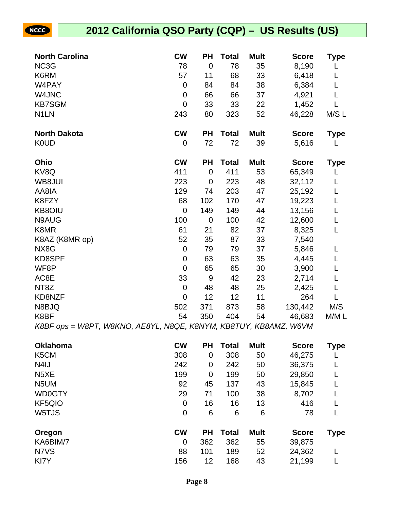| <b>North Carolina</b>                                            | <b>CW</b>        | <b>PH</b>        | <b>Total</b> | <b>Mult</b> | <b>Score</b> | <b>Type</b> |
|------------------------------------------------------------------|------------------|------------------|--------------|-------------|--------------|-------------|
| NC3G                                                             | 78               | $\overline{0}$   | 78           | 35          | 8,190        | L           |
| K6RM                                                             | 57               | 11               | 68           | 33          | 6,418        | L           |
| W4PAY                                                            | $\boldsymbol{0}$ | 84               | 84           | 38          | 6,384        | L           |
| W4JNC                                                            | $\boldsymbol{0}$ | 66               | 66           | 37          | 4,921        | L           |
| <b>KB7SGM</b>                                                    | $\overline{0}$   | 33               | 33           | 22          | 1,452        | L           |
| N <sub>1</sub> LN                                                | 243              | 80               | 323          | 52          | 46,228       | M/S L       |
| <b>North Dakota</b>                                              | <b>CW</b>        | <b>PH</b>        | <b>Total</b> | <b>Mult</b> | <b>Score</b> | <b>Type</b> |
| <b>K0UD</b>                                                      | $\mathbf 0$      | 72               | 72           | 39          | 5,616        | L           |
| Ohio                                                             | <b>CW</b>        | <b>PH</b>        | <b>Total</b> | <b>Mult</b> | <b>Score</b> | Type        |
| KV8Q                                                             | 411              | $\mathbf 0$      | 411          | 53          | 65,349       | L           |
| WB8JUI                                                           | 223              | $\mathbf 0$      | 223          | 48          | 32,112       | L           |
| AA8IA                                                            | 129              | 74               | 203          | 47          | 25,192       | L           |
| K8FZY                                                            | 68               | 102              | 170          | 47          | 19,223       | L           |
| <b>KB8OIU</b>                                                    | $\mathbf 0$      | 149              | 149          | 44          | 13,156       | L           |
| N9AUG                                                            | 100              | $\mathbf 0$      | 100          | 42          | 12,600       | L           |
| K8MR                                                             | 61               | 21               | 82           | 37          | 8,325        | L           |
| K8AZ (K8MR op)                                                   | 52               | 35               | 87           | 33          | 7,540        |             |
| NX8G                                                             | $\mathbf 0$      | 79               | 79           | 37          | 5,846        | L           |
| KD8SPF                                                           | $\mathbf 0$      | 63               | 63           | 35          | 4,445        | L           |
| WF8P                                                             | $\overline{0}$   | 65               | 65           | 30          | 3,900        | L           |
| AC8E                                                             | 33               | $9\,$            | 42           | 23          | 2,714        | L           |
| NT8Z                                                             | $\mathbf 0$      | 48               | 48           | 25          | 2,425        | L           |
| KD8NZF                                                           | $\mathbf 0$      | 12               | 12           | 11          | 264          | L           |
| N8BJQ                                                            | 502              | 371              | 873          | 58          | 130,442      | M/S         |
| K8BF                                                             | 54               | 350              | 404          | 54          | 46,683       | M/M L       |
| K8BF ops = W8PT, W8KNO, AE8YL, N8QE, K8NYM, KB8TUY, KB8AMZ, W6VM |                  |                  |              |             |              |             |
| <b>Oklahoma</b>                                                  | <b>CW</b>        | <b>PH</b>        | <b>Total</b> | <b>Mult</b> | <b>Score</b> | <b>Type</b> |
| K <sub>5</sub> CM                                                | 308              | $\boldsymbol{0}$ | 308          | 50          | 46,275       | L           |
| N <sub>4</sub> IJ                                                | 242              | $\pmb{0}$        | 242          | 50          | 36,375       | L           |
| N <sub>5</sub> XE                                                | 199              | $\mathbf 0$      | 199          | 50          | 29,850       | L           |

| N5XE          | 199       | 0         | 199          | 50          | 29,850       |      |
|---------------|-----------|-----------|--------------|-------------|--------------|------|
| N5UM          | 92        | 45        | 137          | 43          | 15,845       |      |
| WD0GTY        | 29        | 71        | 100          | 38          | 8,702        |      |
| <b>KF5QIO</b> | 0         | 16        | 16           | 13          | 416          |      |
| W5TJS         | 0         | 6         | 6            | 6           | 78           |      |
| Oregon        | <b>CW</b> | <b>PH</b> | <b>Total</b> | <b>Mult</b> | <b>Score</b> | Type |
| KA6BIM/7      | 0         | 362       | 362          | 55          | 39,875       |      |
| N7VS          | 88        | 101       | 189          | 52          | 24,362       |      |
| KI7Y          | 156       | 12        | 168          | 43          | 21,199       |      |
|               |           |           |              |             |              |      |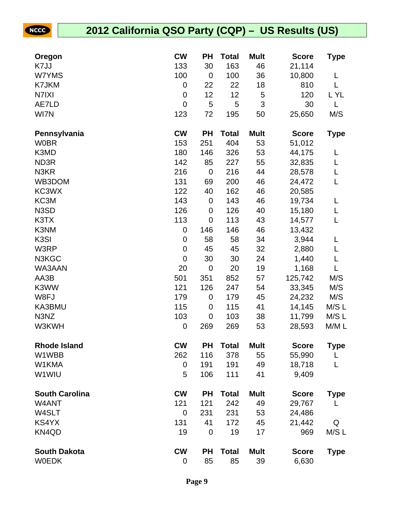| Oregon                | <b>CW</b>        | <b>PH</b>        | <b>Total</b> | <b>Mult</b>    | <b>Score</b> | Type        |
|-----------------------|------------------|------------------|--------------|----------------|--------------|-------------|
| K7JJ                  | 133              | 30               | 163          | 46             | 21,114       |             |
| W7YMS                 | 100              | $\mathbf 0$      | 100          | 36             | 10,800       | L           |
| K7JKM                 | 0                | 22               | 22           | 18             | 810          | L           |
| N7IXI                 | 0                | 12               | 12           | 5              | 120          | L YL        |
| AE7LD                 | $\mathbf 0$      | 5                | 5            | $\mathfrak{S}$ | 30           | L           |
| WI7N                  | 123              | 72               | 195          | 50             | 25,650       | M/S         |
| Pennsylvania          | <b>CW</b>        | <b>PH</b>        | <b>Total</b> | <b>Mult</b>    | <b>Score</b> | <b>Type</b> |
| <b>W0BR</b>           | 153              | 251              | 404          | 53             | 51,012       |             |
| K3MD                  | 180              | 146              | 326          | 53             | 44,175       | L           |
| ND3R                  | 142              | 85               | 227          | 55             | 32,835       | L           |
| N3KR                  | 216              | $\pmb{0}$        | 216          | 44             | 28,578       | L           |
| WB3DOM                | 131              | 69               | 200          | 46             | 24,472       | L           |
| KC3WX                 | 122              | 40               | 162          | 46             | 20,585       |             |
| KC3M                  | 143              | $\boldsymbol{0}$ | 143          | 46             | 19,734       | L           |
| N3SD                  | 126              | $\boldsymbol{0}$ | 126          | 40             | 15,180       | L           |
| K3TX                  | 113              | $\mathbf 0$      | 113          | 43             | 14,577       | L           |
| K3NM                  | 0                | 146              | 146          | 46             | 13,432       |             |
| K <sub>3</sub> SI     | 0                | 58               | 58           | 34             | 3,944        | L           |
| W3RP                  | $\boldsymbol{0}$ | 45               | 45           | 32             | 2,880        | L           |
| N3KGC                 | $\boldsymbol{0}$ | 30               | 30           | 24             | 1,440        | L           |
| WA3AAN                | 20               | $\mathbf 0$      | 20           | 19             | 1,168        | L           |
| AA3B                  | 501              | 351              | 852          | 57             | 125,742      | M/S         |
| K3WW                  | 121              | 126              | 247          | 54             | 33,345       | M/S         |
| W8FJ                  | 179              | $\pmb{0}$        | 179          | 45             | 24,232       | M/S         |
| KA3BMU                | 115              | $\boldsymbol{0}$ | 115          | 41             | 14,145       | M/S L       |
| N3NZ                  | 103              | $\mathbf 0$      | 103          | 38             | 11,799       | M/S L       |
| W3KWH                 | $\pmb{0}$        | 269              | 269          | 53             | 28,593       | M/M L       |
| <b>Rhode Island</b>   | <b>CW</b>        | <b>PH</b>        | <b>Total</b> | <b>Mult</b>    | <b>Score</b> | Type        |
| W1WBB                 | 262              | 116              | 378          | 55             | 55,990       |             |
| W1KMA                 | 0                | 191              | 191          | 49             | 18,718       | L           |
| W1WIU                 | 5                | 106              | 111          | 41             | 9,409        |             |
| <b>South Carolina</b> | <b>CW</b>        | <b>PH</b>        | <b>Total</b> | <b>Mult</b>    | <b>Score</b> | <b>Type</b> |
| W4ANT                 | 121              | 121              | 242          | 49             | 29,767       |             |
| W4SLT                 | $\mathbf 0$      | 231              | 231          | 53             | 24,486       |             |
| KS4YX                 | 131              | 41               | 172          | 45             | 21,442       | Q           |
| KN4QD                 | 19               | $\mathbf 0$      | 19           | 17             | 969          | M/S L       |
| <b>South Dakota</b>   | <b>CW</b>        | <b>PH</b>        | <b>Total</b> | <b>Mult</b>    | <b>Score</b> | <b>Type</b> |
| <b>WOEDK</b>          | 0                | 85               | 85           | 39             | 6,630        |             |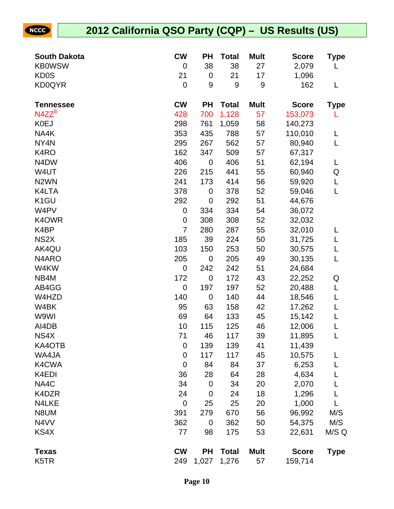| <b>South Dakota</b>           | <b>CW</b>        | <b>PH</b>   | <b>Total</b>     | <b>Mult</b>      | <b>Score</b> | <b>Type</b> |
|-------------------------------|------------------|-------------|------------------|------------------|--------------|-------------|
| <b>KB0WSW</b>                 | $\mathbf 0$      | 38          | 38               | 27               | 2,079        | L           |
| <b>KD0S</b>                   | 21               | $\mathbf 0$ | 21               | 17               | 1,096        |             |
| <b>KD0QYR</b>                 | $\mathbf 0$      | 9           | $\boldsymbol{9}$ | $\boldsymbol{9}$ | 162          | L           |
|                               |                  |             |                  |                  |              |             |
| <b>Tennessee</b>              | <b>CW</b>        | <b>PH</b>   | <b>Total</b>     | <b>Mult</b>      | <b>Score</b> | <b>Type</b> |
| $N4ZZ^8$                      | 428              | 700         | 1,128            | 57               | 153,073      | L           |
| <b>K0EJ</b>                   | 298              | 761         | 1,059            | 58               | 140,273      |             |
| NA4K                          | 353              | 435         | 788              | 57               | 110,010      | L           |
| NY4N                          | 295              | 267         | 562              | 57               | 80,940       | L           |
| K4RO                          | 162              | 347         | 509              | 57               | 67,317       |             |
| N <sub>4</sub> D <sub>W</sub> | 406              | $\mathbf 0$ | 406              | 51               | 62,194       | L           |
| W4UT                          | 226              | 215         | 441              | 55               | 60,940       | Q           |
| N <sub>2</sub> WN             | 241              | 173         | 414              | 56               | 59,920       | L           |
| K4LTA                         | 378              | $\mathbf 0$ | 378              | 52               | 59,046       | L           |
| K <sub>1</sub> GU             | 292              | $\mathbf 0$ | 292              | 51               | 44,676       |             |
| W4PV                          | 0                | 334         | 334              | 54               | 36,072       |             |
| K4OWR                         | $\mathbf 0$      | 308         | 308              | 52               | 32,032       |             |
| K4BP                          | $\overline{7}$   | 280         | 287              | 55               | 32,010       | L           |
| NS <sub>2</sub> X             | 185              | 39          | 224              | 50               | 31,725       | L           |
| AK4QU                         | 103              | 150         | 253              | 50               | 30,575       | L           |
| N4ARO                         | 205              | $\mathbf 0$ | 205              | 49               | 30,135       | L           |
| W4KW                          | $\mathbf 0$      | 242         | 242              | 51               | 24,684       |             |
| NB4M                          | 172              | $\mathbf 0$ | 172              | 43               | 22,252       | Q           |
| AB4GG                         | $\mathbf 0$      | 197         | 197              | 52               | 20,488       | L           |
| W4HZD                         | 140              | $\mathbf 0$ | 140              | 44               | 18,546       | L           |
| W4BK                          | 95               | 63          | 158              | 42               | 17,262       | L           |
| W9WI                          | 69               | 64          | 133              | 45               | 15,142       | L           |
| AI4DB                         | 10               | 115         | 125              | 46               | 12,006       | L           |
| NS4X                          | 71               | 46          | 117              | 39               | 11,895       | L           |
| KA4OTB                        | $\boldsymbol{0}$ | 139         | 139              | 41               | 11,439       |             |
| WA4JA                         | $\boldsymbol{0}$ | 117         | 117              | 45               | 10,575       | L           |
| K4CWA                         | $\mathbf 0$      | 84          | 84               | 37               | 6,253        | L           |
| K4EDI                         | 36               | 28          | 64               | 28               | 4,634        |             |
| NA4C                          | 34               | $\mathbf 0$ | 34               | 20               | 2,070        | L           |
| K4DZR                         | 24               | $\mathbf 0$ | 24               | 18               | 1,296        | L           |
| N4LKE                         | $\mathbf 0$      | 25          | 25               | 20               | 1,000        | L           |
| N8UM                          | 391              | 279         | 670              | 56               | 96,992       | M/S         |
| N4VV                          | 362              | $\mathbf 0$ | 362              | 50               | 54,375       | M/S         |
| KS4X                          | 77               | 98          | 175              | 53               | 22,631       | M/S Q       |
| <b>Texas</b>                  | <b>CW</b>        | <b>PH</b>   | <b>Total</b>     | <b>Mult</b>      | <b>Score</b> | <b>Type</b> |
| K5TR                          | 249              | 1,027       | 1,276            | 57               | 159,714      |             |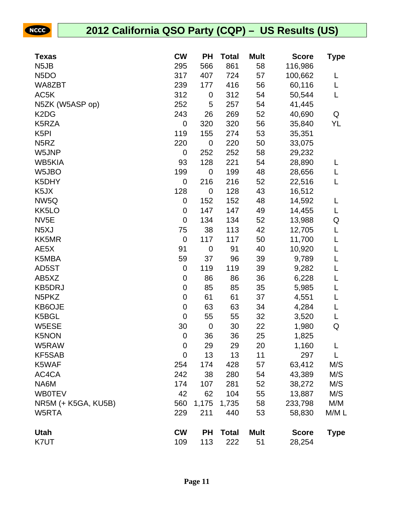| <b>Texas</b>                   | <b>CW</b>        | <b>PH</b>   | <b>Total</b> | <b>Mult</b> | <b>Score</b> | Type        |
|--------------------------------|------------------|-------------|--------------|-------------|--------------|-------------|
| N <sub>5</sub> JB              | 295              | 566         | 861          | 58          | 116,986      |             |
| N <sub>5</sub> DO              | 317              | 407         | 724          | 57          | 100,662      | L           |
| WA8ZBT                         | 239              | 177         | 416          | 56          | 60,116       | L           |
| AC5K                           | 312              | 0           | 312          | 54          | 50,544       | L           |
| N5ZK (W5ASP op)                | 252              | 5           | 257          | 54          | 41,445       |             |
| K <sub>2</sub> D <sub>G</sub>  | 243              | 26          | 269          | 52          | 40,690       | Q           |
| K5RZA                          | $\boldsymbol{0}$ | 320         | 320          | 56          | 35,840       | YL          |
| K <sub>5</sub> PI              | 119              | 155         | 274          | 53          | 35,351       |             |
| N <sub>5</sub> RZ              | 220              | $\mathbf 0$ | 220          | 50          | 33,075       |             |
| W5JNP                          | 0                | 252         | 252          | 58          | 29,232       |             |
| <b>WB5KIA</b>                  | 93               | 128         | 221          | 54          | 28,890       | L           |
| W5JBO                          | 199              | $\mathbf 0$ | 199          | 48          | 28,656       | L           |
| K5DHY                          | $\boldsymbol{0}$ | 216         | 216          | 52          | 22,516       | L           |
| K5JX                           | 128              | $\mathbf 0$ | 128          | 43          | 16,512       |             |
| NW <sub>5Q</sub>               | $\boldsymbol{0}$ | 152         | 152          | 48          | 14,592       | L           |
| KK5LO                          | 0                | 147         | 147          | 49          | 14,455       | L           |
| NV <sub>5</sub> E              | $\mathbf 0$      | 134         | 134          | 52          | 13,988       | Q           |
| N <sub>5</sub> XJ              | 75               | 38          | 113          | 42          | 12,705       | L           |
| KK5MR                          | $\mathbf 0$      | 117         | 117          | 50          | 11,700       | L           |
| AE5X                           | 91               | 0           | 91           | 40          | 10,920       | L           |
| K5MBA                          | 59               | 37          | 96           | 39          | 9,789        | L           |
| AD5ST                          | $\pmb{0}$        | 119         | 119          | 39          | 9,282        | L           |
| AB5XZ                          | $\mathbf 0$      | 86          | 86           | 36          | 6,228        | L           |
| <b>KB5DRJ</b>                  | 0                | 85          | 85           | 35          | 5,985        | L           |
| N <sub>5</sub> PK <sub>Z</sub> | $\mathbf 0$      | 61          | 61           | 37          | 4,551        | L           |
| KB6OJE                         | $\mathbf 0$      | 63          | 63           | 34          | 4,284        | L           |
| K5BGL                          | $\mathbf 0$      | 55          | 55           | 32          | 3,520        | L           |
| W5ESE                          | 30               | $\mathbf 0$ | 30           | 22          | 1,980        | Q           |
| <b>K5NON</b>                   | $\mathbf 0$      | 36          | 36           | 25          | 1,825        |             |
| W5RAW                          | 0                | 29          | 29           | 20          | 1,160        | L           |
| KF5SAB                         | $\mathbf 0$      | 13          | 13           | 11          | 297          | L           |
| K5WAF                          | 254              | 174         | 428          | 57          | 63,412       | M/S         |
| AC4CA                          | 242              | 38          | 280          | 54          | 43,389       | M/S         |
| NA6M                           | 174              | 107         | 281          | 52          | 38,272       | M/S         |
| <b>WB0TEV</b>                  | 42               | 62          | 104          | 55          | 13,887       | M/S         |
| NR5M (+ K5GA, KU5B)            | 560              | 1,175       | 1,735        | 58          | 233,798      | M/M         |
| W5RTA                          | 229              | 211         | 440          | 53          | 58,830       | M/M L       |
| <b>Utah</b>                    | <b>CW</b>        | <b>PH</b>   | <b>Total</b> | <b>Mult</b> | <b>Score</b> | <b>Type</b> |
| K7UT                           | 109              | 113         | 222          | 51          | 28,254       |             |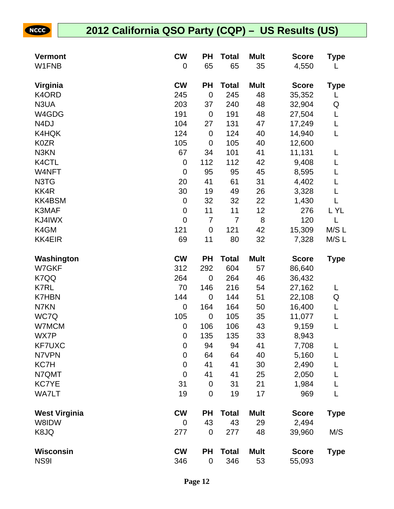| <b>Vermont</b>       | <b>CW</b>        | ΡH             | <b>Total</b>   | <b>Mult</b> | <b>Score</b> | Type        |
|----------------------|------------------|----------------|----------------|-------------|--------------|-------------|
| W1FNB                | 0                | 65             | 65             | 35          | 4,550        | L           |
| Virginia             | <b>CW</b>        | PH             | <b>Total</b>   | <b>Mult</b> | <b>Score</b> | Type        |
| K4ORD                | 245              | $\mathbf 0$    | 245            | 48          | 35,352       | L           |
| N3UA                 | 203              | 37             | 240            | 48          | 32,904       | Q           |
| W4GDG                | 191              | $\mathbf 0$    | 191            | 48          | 27,504       | L           |
| N <sub>4</sub> DJ    | 104              | 27             | 131            | 47          | 17,249       | L           |
| K4HQK                | 124              | $\mathbf 0$    | 124            | 40          | 14,940       | L           |
| <b>K0ZR</b>          | 105              | $\mathbf 0$    | 105            | 40          | 12,600       |             |
| N3KN                 | 67               | 34             | 101            | 41          | 11,131       | L           |
| K4CTL                | $\boldsymbol{0}$ | 112            | 112            | 42          | 9,408        | L           |
| W4NFT                | $\mathbf 0$      | 95             | 95             | 45          | 8,595        | L           |
| N3TG                 | 20               | 41             | 61             | 31          | 4,402        | L           |
| KK4R                 | 30               | 19             | 49             | 26          | 3,328        | L           |
| <b>KK4BSM</b>        | $\boldsymbol{0}$ | 32             | 32             | 22          | 1,430        | L           |
| K3MAF                | $\boldsymbol{0}$ | 11             | 11             | 12          | 276          | L YL        |
| KJ4IWX               | $\mathbf 0$      | $\overline{7}$ | $\overline{7}$ | 8           | 120          | L           |
| K4GM                 | 121              | $\mathbf 0$    | 121            | 42          | 15,309       | M/SL        |
| <b>KK4EIR</b>        | 69               | 11             | 80             | 32          | 7,328        | M/S L       |
| Washington           | <b>CW</b>        | PH             | <b>Total</b>   | <b>Mult</b> | <b>Score</b> | <b>Type</b> |
| W7GKF                | 312              | 292            | 604            | 57          | 86,640       |             |
| K7QQ                 | 264              | $\overline{0}$ | 264            | 46          | 36,432       |             |
| <b>K7RL</b>          | 70               | 146            | 216            | 54          | 27,162       | L           |
| <b>K7HBN</b>         | 144              | $\mathbf 0$    | 144            | 51          | 22,108       | Q           |
| N7KN                 | $\mathbf 0$      | 164            | 164            | 50          | 16,400       | L           |
| WC7Q                 | 105              | $\mathbf 0$    | 105            | 35          | 11,077       | L           |
| W7MCM                | $\pmb{0}$        | 106            | 106            | 43          | 9,159        | L           |
| <b>WX7P</b>          | $\pmb{0}$        | 135            | 135            | 33          | 8,943        |             |
| <b>KF7UXC</b>        | 0                | 94             | 94             | 41          | 7,708        | L           |
| N7VPN                | $\mathbf 0$      | 64             | 64             | 40          | 5,160        | L           |
| KC7H                 | 0                | 41             | 41             | 30          | 2,490        |             |
| N7QMT                | 0                | 41             | 41             | 25          | 2,050        |             |
| <b>KC7YE</b>         | 31               | $\mathbf 0$    | 31             | 21          | 1,984        | L           |
| <b>WA7LT</b>         | 19               | $\mathbf 0$    | 19             | 17          | 969          | L           |
| <b>West Virginia</b> | <b>CW</b>        | ΡH             | <b>Total</b>   | <b>Mult</b> | <b>Score</b> | Type        |
| W8IDW                | 0                | 43             | 43             | 29          | 2,494        |             |
| K8JQ                 | 277              | $\mathbf 0$    | 277            | 48          | 39,960       | M/S         |
| <b>Wisconsin</b>     | <b>CW</b>        | PH             | <b>Total</b>   | <b>Mult</b> | <b>Score</b> | <b>Type</b> |
| NS9I                 | 346              | $\pmb{0}$      | 346            | 53          | 55,093       |             |